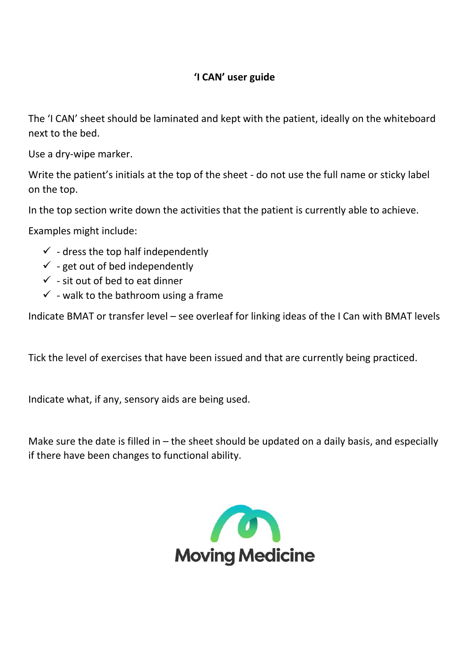## **'I CAN' user guide**

The 'I CAN' sheet should be laminated and kept with the patient, ideally on the whiteboard next to the bed.

Use a dry-wipe marker.

Write the patient's initials at the top of the sheet - do not use the full name or sticky label on the top.

In the top section write down the activities that the patient is currently able to achieve.

Examples might include:

- $\checkmark$  dress the top half independently
- $\checkmark$  get out of bed independently
- $\checkmark$  sit out of bed to eat dinner
- $\checkmark$  walk to the bathroom using a frame

Indicate BMAT or transfer level – see overleaf for linking ideas of the I Can with BMAT levels

Tick the level of exercises that have been issued and that are currently being practiced.

Indicate what, if any, sensory aids are being used.

Make sure the date is filled in  $-$  the sheet should be updated on a daily basis, and especially if there have been changes to functional ability.